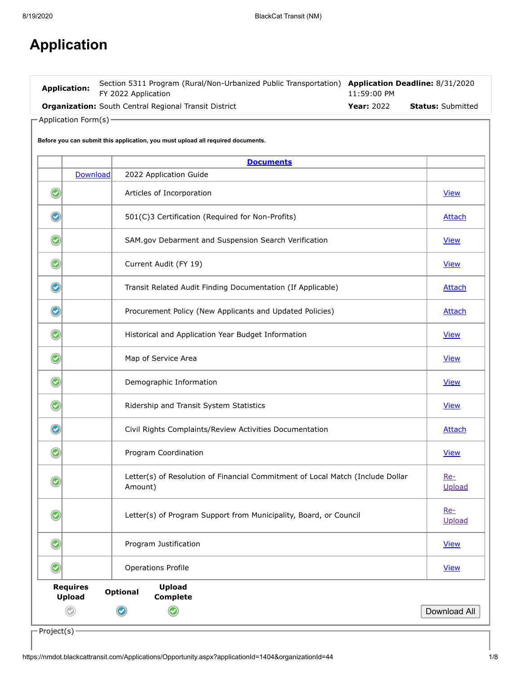# **Application**

| <b>Application:</b> | Section 5311 Program (Rural/Non-Urbanized Public Transportation) Application Deadline: 8/31/2020<br>FY 2022 Application | 11:59:00 PM       |                          |
|---------------------|-------------------------------------------------------------------------------------------------------------------------|-------------------|--------------------------|
|                     | <b>Organization:</b> South Central Regional Transit District                                                            | <b>Year: 2022</b> | <b>Status:</b> Submitted |

 $\Gamma$ Application Form(s) –

|                      |                                  | <b>Documents</b>                                                                          |               |
|----------------------|----------------------------------|-------------------------------------------------------------------------------------------|---------------|
|                      | Download                         | 2022 Application Guide                                                                    |               |
| Ø                    |                                  | Articles of Incorporation                                                                 | <b>View</b>   |
| $\bullet$            |                                  | 501(C)3 Certification (Required for Non-Profits)                                          | <b>Attach</b> |
| $\bullet$            |                                  | SAM.gov Debarment and Suspension Search Verification                                      | <b>View</b>   |
| $\bullet$            |                                  | Current Audit (FY 19)                                                                     | <b>View</b>   |
| $\bm{\bm\omega}$     |                                  | Transit Related Audit Finding Documentation (If Applicable)                               | <b>Attach</b> |
| Ø                    |                                  | Procurement Policy (New Applicants and Updated Policies)                                  | <b>Attach</b> |
| $\rm \bf C$          |                                  | Historical and Application Year Budget Information                                        | <b>View</b>   |
| $\bullet$            |                                  | Map of Service Area                                                                       | <b>View</b>   |
| $\rm \odot$          |                                  | Demographic Information                                                                   | <b>View</b>   |
| $\rm \bf \bm \omega$ |                                  | Ridership and Transit System Statistics                                                   | <b>View</b>   |
| C                    |                                  | Civil Rights Complaints/Review Activities Documentation                                   | <b>Attach</b> |
| Q                    |                                  | Program Coordination                                                                      | <b>View</b>   |
|                      |                                  | Letter(s) of Resolution of Financial Commitment of Local Match (Include Dollar<br>Amount) | Re-<br>Upload |
|                      |                                  | Letter(s) of Program Support from Municipality, Board, or Council                         | Re-<br>Upload |
| $\bullet$            |                                  | Program Justification                                                                     | <b>View</b>   |
| $\odot$              |                                  | <b>Operations Profile</b>                                                                 | <b>View</b>   |
|                      | <b>Requires</b><br><b>Upload</b> | <b>Upload</b><br><b>Optional</b><br><b>Complete</b>                                       |               |
|                      |                                  |                                                                                           | Download All  |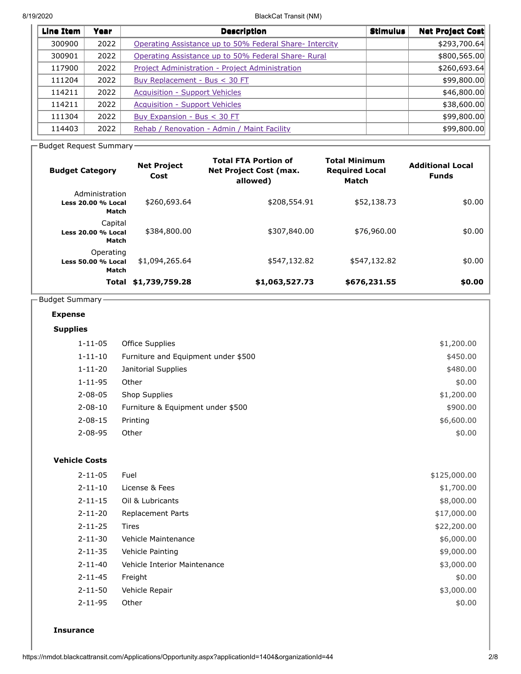8/19/2020 BlackCat Transit (NM)

| Line Item | Year | <b>Description</b>                                      | <b>Stimulus</b> | <b>Net Project Cost</b> |
|-----------|------|---------------------------------------------------------|-----------------|-------------------------|
| 300900    | 2022 | Operating Assistance up to 50% Federal Share- Intercity |                 | \$293,700.64            |
| 300901    | 2022 | Operating Assistance up to 50% Federal Share- Rural     |                 | \$800,565.00            |
| 117900    | 2022 | Project Administration - Project Administration         |                 | \$260,693.64]           |
| 111204    | 2022 | Buy Replacement - Bus < 30 FT                           |                 | \$99,800.00             |
| 114211    | 2022 | <b>Acquisition - Support Vehicles</b>                   |                 | \$46,800.00             |
| 114211    | 2022 | <b>Acquisition - Support Vehicles</b>                   |                 | \$38,600.00             |
| 111304    | 2022 | Buy Expansion - Bus < 30 FT                             |                 | \$99,800.00             |
| 114403    | 2022 | Rehab / Renovation - Admin / Maint Facility             |                 | \$99,800.00             |
|           |      |                                                         |                 |                         |

- Budget Request Summary -

| <b>Budget Category</b>                        | <b>Net Project</b><br>Cost | <b>Total FTA Portion of</b><br><b>Net Project Cost (max.</b><br>allowed) | <b>Total Minimum</b><br><b>Required Local</b><br>Match | <b>Additional Local</b><br><b>Funds</b> |
|-----------------------------------------------|----------------------------|--------------------------------------------------------------------------|--------------------------------------------------------|-----------------------------------------|
| Administration<br>Less 20.00 % Local<br>Match | \$260,693.64               | \$208,554.91                                                             | \$52,138.73                                            | \$0.00                                  |
| Capital<br><b>Less 20.00 % Local</b><br>Match | \$384,800.00               | \$307,840.00                                                             | \$76,960.00                                            | \$0.00                                  |
| Operating<br>Less 50.00 % Local<br>Match      | \$1,094,265.64             | \$547,132.82                                                             | \$547,132.82                                           | \$0.00                                  |
| Total                                         | \$1,739,759.28             | \$1,063,527.73                                                           | \$676,231.55                                           | \$0.00                                  |

# $\overline{\phantom{a}}$ Budget Summary-

# **Expense**

## **Supplies**

| $1 - 11 - 05$ | Office Supplies                     | \$1,200.00 |
|---------------|-------------------------------------|------------|
| $1 - 11 - 10$ | Furniture and Equipment under \$500 | \$450.00   |
| $1 - 11 - 20$ | Janitorial Supplies                 | \$480.00   |
| $1 - 11 - 95$ | Other                               | \$0.00     |
| $2 - 08 - 05$ | Shop Supplies                       | \$1,200.00 |
| $2 - 08 - 10$ | Furniture & Equipment under \$500   | \$900.00   |
| $2 - 08 - 15$ | Printing                            | \$6,600.00 |
| $2 - 08 - 95$ | Other                               | \$0.00     |

#### **Vehicle Costs**

| $2 - 11 - 05$ | Fuel                         | \$125,000.00 |
|---------------|------------------------------|--------------|
| $2 - 11 - 10$ | License & Fees               | \$1,700.00   |
| $2 - 11 - 15$ | Oil & Lubricants             | \$8,000.00   |
| $2 - 11 - 20$ | <b>Replacement Parts</b>     | \$17,000.00  |
| $2 - 11 - 25$ | <b>Tires</b>                 | \$22,200.00  |
| $2 - 11 - 30$ | <b>Vehicle Maintenance</b>   | \$6,000.00   |
| $2 - 11 - 35$ | Vehicle Painting             | \$9,000.00   |
| $2 - 11 - 40$ | Vehicle Interior Maintenance | \$3,000.00   |
| $2 - 11 - 45$ | Freight                      | \$0.00       |
| $2 - 11 - 50$ | Vehicle Repair               | \$3,000.00   |
| $2 - 11 - 95$ | Other                        | \$0.00       |
|               |                              |              |

#### **Insurance**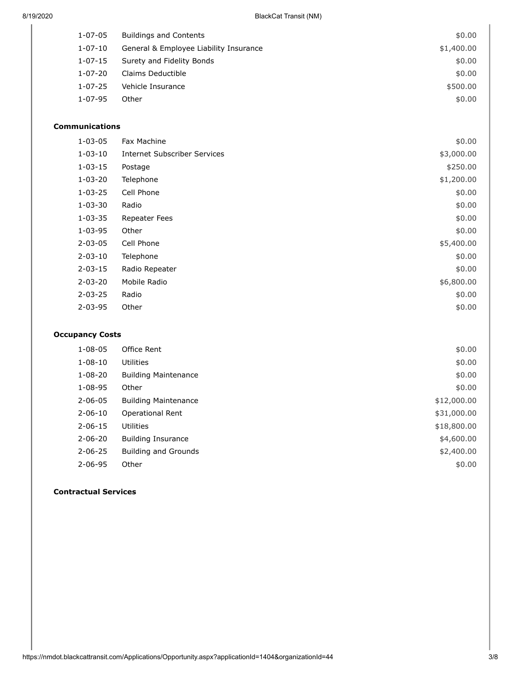| 1-07-05       | <b>Buildings and Contents</b>          | \$0.00     |
|---------------|----------------------------------------|------------|
| 1-07-10       | General & Employee Liability Insurance | \$1,400.00 |
| 1-07-15       | Surety and Fidelity Bonds              | \$0.00     |
| 1-07-20       | Claims Deductible                      | \$0.00     |
| $1 - 07 - 25$ | Vehicle Insurance                      | \$500.00   |
| 1-07-95       | Other                                  | \$0.00     |
|               |                                        |            |

# **Communications**

| $1 - 03 - 05$ | Fax Machine                  | \$0.00     |
|---------------|------------------------------|------------|
| $1 - 03 - 10$ | Internet Subscriber Services | \$3,000.00 |
| $1 - 03 - 15$ | Postage                      | \$250.00   |
| $1 - 03 - 20$ | Telephone                    | \$1,200.00 |
| $1 - 03 - 25$ | Cell Phone                   | \$0.00     |
| $1 - 03 - 30$ | Radio                        | \$0.00     |
| $1 - 03 - 35$ | <b>Repeater Fees</b>         | \$0.00     |
| $1 - 03 - 95$ | Other                        | \$0.00     |
| $2 - 03 - 05$ | Cell Phone                   | \$5,400.00 |
| $2 - 03 - 10$ | Telephone                    | \$0.00     |
| $2 - 03 - 15$ | Radio Repeater               | \$0.00     |
| $2 - 03 - 20$ | Mobile Radio                 | \$6,800.00 |
| $2 - 03 - 25$ | Radio                        | \$0.00     |
| $2 - 03 - 95$ | Other                        | \$0.00     |
|               |                              |            |

## **Occupancy Costs**

| $1 - 08 - 05$ | Office Rent                 | \$0.00      |
|---------------|-----------------------------|-------------|
| $1 - 08 - 10$ | <b>Utilities</b>            | \$0.00      |
| $1 - 08 - 20$ | <b>Building Maintenance</b> | \$0.00      |
| $1 - 08 - 95$ | Other                       | \$0.00      |
| $2 - 06 - 05$ | <b>Building Maintenance</b> | \$12,000.00 |
| $2 - 06 - 10$ | Operational Rent            | \$31,000.00 |
| $2 - 06 - 15$ | <b>Utilities</b>            | \$18,800.00 |
| $2 - 06 - 20$ | <b>Building Insurance</b>   | \$4,600.00  |
| $2 - 06 - 25$ | <b>Building and Grounds</b> | \$2,400.00  |
| $2 - 06 - 95$ | Other                       | \$0.00      |

#### **Contractual Services**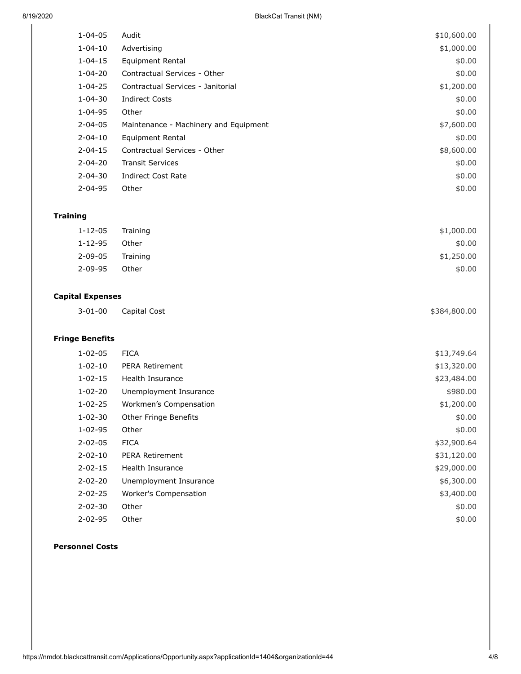| 8/19/2020               | <b>BlackCat Transit (NM)</b>          |              |  |
|-------------------------|---------------------------------------|--------------|--|
| $1 - 04 - 05$           | Audit                                 | \$10,600.00  |  |
| $1 - 04 - 10$           | Advertising                           | \$1,000.00   |  |
| $1 - 04 - 15$           | <b>Equipment Rental</b>               | \$0.00       |  |
| $1 - 04 - 20$           | Contractual Services - Other          | \$0.00       |  |
| $1 - 04 - 25$           | Contractual Services - Janitorial     | \$1,200.00   |  |
| $1 - 04 - 30$           | <b>Indirect Costs</b>                 | \$0.00       |  |
| $1 - 04 - 95$           | Other                                 | \$0.00       |  |
| $2 - 04 - 05$           | Maintenance - Machinery and Equipment | \$7,600.00   |  |
| $2 - 04 - 10$           | <b>Equipment Rental</b>               | \$0.00       |  |
| $2 - 04 - 15$           | Contractual Services - Other          | \$8,600.00   |  |
| $2 - 04 - 20$           | <b>Transit Services</b>               | \$0.00       |  |
| $2 - 04 - 30$           | <b>Indirect Cost Rate</b>             | \$0.00       |  |
| $2 - 04 - 95$           | Other                                 | \$0.00       |  |
| <b>Training</b>         |                                       |              |  |
| $1 - 12 - 05$           | Training                              | \$1,000.00   |  |
| $1 - 12 - 95$           | Other                                 | \$0.00       |  |
| $2 - 09 - 05$           | Training                              | \$1,250.00   |  |
| $2 - 09 - 95$           | Other                                 | \$0.00       |  |
| <b>Capital Expenses</b> |                                       |              |  |
| $3 - 01 - 00$           | Capital Cost                          | \$384,800.00 |  |
| <b>Fringe Benefits</b>  |                                       |              |  |
| $1 - 02 - 05$           | <b>FICA</b>                           | \$13,749.64  |  |
| $1 - 02 - 10$           | PERA Retirement                       | \$13,320.00  |  |
| $1 - 02 - 15$           | Health Insurance                      | \$23,484.00  |  |
| $1 - 02 - 20$           | Unemployment Insurance                | \$980.00     |  |
| $1 - 02 - 25$           | Workmen's Compensation                | \$1,200.00   |  |
| $1 - 02 - 30$           | Other Fringe Benefits                 | \$0.00       |  |
| $1 - 02 - 95$           | Other                                 | \$0.00       |  |
| $2 - 02 - 05$           | <b>FICA</b>                           | \$32,900.64  |  |
| $2 - 02 - 10$           | PERA Retirement                       | \$31,120.00  |  |
| $2 - 02 - 15$           | Health Insurance                      | \$29,000.00  |  |
| $2 - 02 - 20$           | Unemployment Insurance                | \$6,300.00   |  |
| $2 - 02 - 25$           | Worker's Compensation                 | \$3,400.00   |  |
| $2 - 02 - 30$           | Other                                 | \$0.00       |  |
| $2 - 02 - 95$           | Other                                 | \$0.00       |  |

#### **Personnel Costs**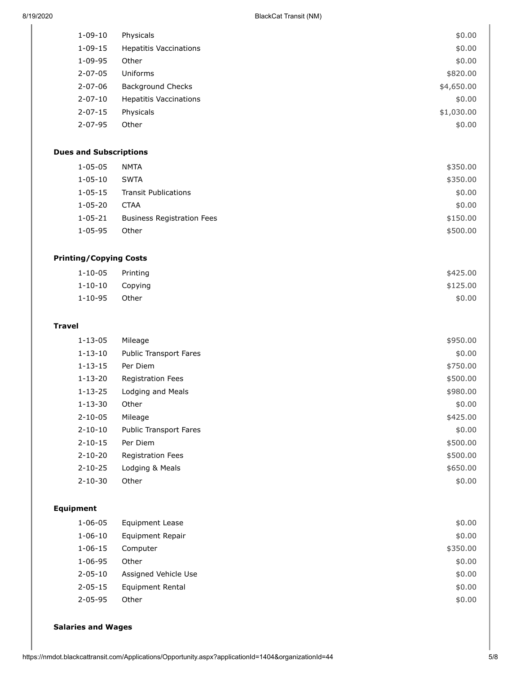| $1 - 09 - 10$                 | Physicals                         | \$0.00     |
|-------------------------------|-----------------------------------|------------|
| $1 - 09 - 15$                 | <b>Hepatitis Vaccinations</b>     | \$0.00     |
| $1 - 09 - 95$                 | Other                             | \$0.00     |
| $2 - 07 - 05$                 | Uniforms                          | \$820.00   |
| $2 - 07 - 06$                 | <b>Background Checks</b>          | \$4,650.00 |
| $2 - 07 - 10$                 | <b>Hepatitis Vaccinations</b>     | \$0.00     |
| $2 - 07 - 15$                 | Physicals                         | \$1,030.00 |
| $2 - 07 - 95$                 | Other                             | \$0.00     |
|                               |                                   |            |
| <b>Dues and Subscriptions</b> |                                   |            |
| $1 - 05 - 05$                 | <b>NMTA</b>                       | \$350.00   |
| $1 - 05 - 10$                 | <b>SWTA</b>                       | \$350.00   |
| $1 - 05 - 15$                 | <b>Transit Publications</b>       | \$0.00     |
| $1 - 05 - 20$                 | <b>CTAA</b>                       | \$0.00     |
| $1 - 05 - 21$                 | <b>Business Registration Fees</b> | \$150.00   |
| $1 - 05 - 95$                 | Other                             | \$500.00   |
|                               |                                   |            |
| <b>Printing/Copying Costs</b> |                                   |            |
| $1 - 10 - 05$                 | Printing                          | \$425.00   |
| $1 - 10 - 10$                 | Copying                           | \$125.00   |
| $1 - 10 - 95$                 | Other                             | \$0.00     |
|                               |                                   |            |
| <b>Travel</b>                 |                                   |            |
| $1 - 13 - 05$                 | Mileage                           | \$950.00   |
| $1 - 13 - 10$                 | <b>Public Transport Fares</b>     | \$0.00     |
| $1 - 13 - 15$                 | Per Diem                          | \$750.00   |
| $1 - 13 - 20$                 | <b>Registration Fees</b>          | \$500.00   |
| $1 - 13 - 25$                 | Lodging and Meals                 | \$980.00   |
| $1 - 13 - 30$                 | Other                             | \$0.00     |
| $2 - 10 - 05$                 | Mileage                           | \$425.00   |
| $2 - 10 - 10$                 | <b>Public Transport Fares</b>     | \$0.00     |
| $2 - 10 - 15$                 | Per Diem                          | \$500.00   |
| $2 - 10 - 20$                 | Registration Fees                 | \$500.00   |
| $2 - 10 - 25$                 | Lodging & Meals                   | \$650.00   |
| $2 - 10 - 30$                 | Other                             | \$0.00     |
|                               |                                   |            |
| <b>Equipment</b>              |                                   |            |
| $1 - 06 - 05$                 | <b>Equipment Lease</b>            | \$0.00     |
| $1 - 06 - 10$                 | Equipment Repair                  | \$0.00     |
| $1 - 06 - 15$                 | Computer                          | \$350.00   |
| $1 - 06 - 95$                 | Other                             | \$0.00     |
| $2 - 05 - 10$                 | Assigned Vehicle Use              | \$0.00     |

## **Salaries and Wages**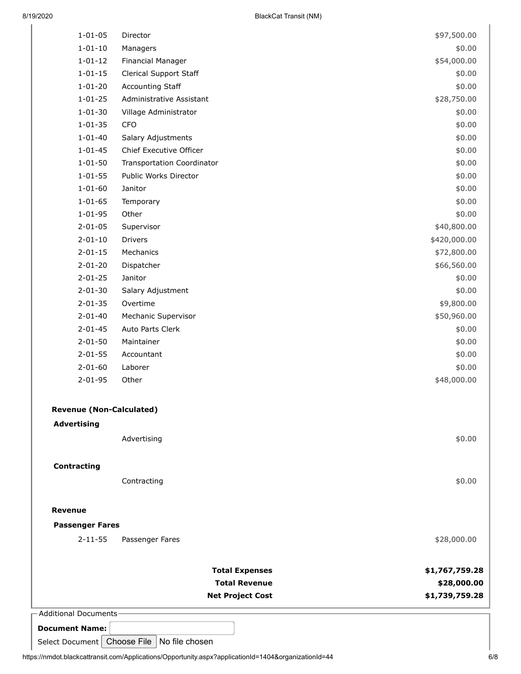| - Additional Documents-                 | <b>Total Expenses</b><br><b>Total Revenue</b><br><b>Net Project Cost</b> | \$1,767,759.28<br>\$28,000.00<br>\$1,739,759.28 |
|-----------------------------------------|--------------------------------------------------------------------------|-------------------------------------------------|
|                                         |                                                                          |                                                 |
| <b>Passenger Fares</b><br>$2 - 11 - 55$ | Passenger Fares                                                          | \$28,000.00                                     |
| <b>Revenue</b>                          |                                                                          |                                                 |
| <b>Contracting</b>                      | Contracting                                                              | \$0.00                                          |
|                                         |                                                                          |                                                 |
| <b>Advertising</b>                      | Advertising                                                              | \$0.00                                          |
| <b>Revenue (Non-Calculated)</b>         |                                                                          |                                                 |
| $2 - 01 - 95$                           | Other                                                                    | \$48,000.00                                     |
| $2 - 01 - 60$                           | Laborer                                                                  | \$0.00                                          |
| $2 - 01 - 55$                           | Accountant                                                               | \$0.00                                          |
| $2 - 01 - 50$                           | Maintainer                                                               | \$0.00                                          |
| $2 - 01 - 45$                           | Auto Parts Clerk                                                         | \$0.00                                          |
| $2 - 01 - 40$                           | Mechanic Supervisor                                                      | \$50,960.00                                     |
| $2 - 01 - 30$<br>$2 - 01 - 35$          | Salary Adjustment<br>Overtime                                            | \$0.00<br>\$9,800.00                            |
| $2 - 01 - 25$                           | Janitor                                                                  | \$0.00                                          |
| $2 - 01 - 20$                           | Dispatcher                                                               | \$66,560.00                                     |
| $2 - 01 - 15$                           | Mechanics                                                                | \$72,800.00                                     |
| $2 - 01 - 10$                           | Drivers                                                                  | \$420,000.00                                    |
| $2 - 01 - 05$                           | Supervisor                                                               | \$40,800.00                                     |
| $1 - 01 - 95$                           | Other                                                                    | \$0.00                                          |
| $1 - 01 - 65$                           | Temporary                                                                | \$0.00                                          |
| $1 - 01 - 60$                           | Janitor                                                                  | \$0.00                                          |
| $1 - 01 - 55$                           | Public Works Director                                                    | \$0.00                                          |
| $1 - 01 - 50$                           | <b>Transportation Coordinator</b>                                        | \$0.00                                          |
| $1 - 01 - 45$                           | Chief Executive Officer                                                  | \$0.00                                          |
| $1 - 01 - 40$                           | Salary Adjustments                                                       | \$0.00                                          |
| $1 - 01 - 35$                           | Village Administrator<br><b>CFO</b>                                      | \$0.00<br>\$0.00                                |
| $1 - 01 - 25$<br>$1 - 01 - 30$          | Administrative Assistant                                                 | \$28,750.00                                     |
| $1 - 01 - 20$                           | <b>Accounting Staff</b>                                                  | \$0.00                                          |
| $1 - 01 - 15$                           | Clerical Support Staff                                                   | \$0.00                                          |
| $1 - 01 - 12$                           | Financial Manager                                                        | \$54,000.00                                     |
| $1 - 01 - 10$                           | Managers                                                                 | \$0.00                                          |
|                                         |                                                                          |                                                 |

**Document Name:**

Select Document Choose File  $\vert$  No file chosen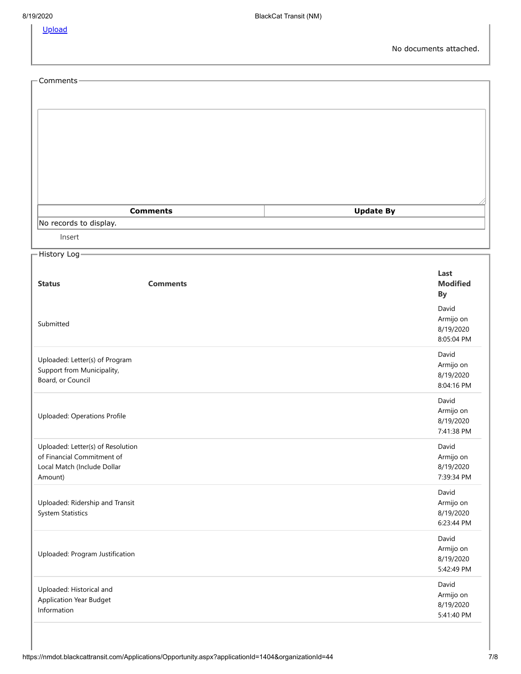[Upload](javascript:__doPostBack()

| - Comments -                           |                 |                         |
|----------------------------------------|-----------------|-------------------------|
|                                        |                 |                         |
|                                        |                 |                         |
|                                        |                 |                         |
|                                        |                 |                         |
|                                        |                 |                         |
|                                        |                 |                         |
|                                        |                 |                         |
|                                        | <b>Comments</b> | <b>Update By</b>        |
| No records to display.                 |                 |                         |
| Insert                                 |                 |                         |
| History Log-                           |                 |                         |
|                                        |                 |                         |
| <b>Status</b>                          | <b>Comments</b> | Last<br><b>Modified</b> |
|                                        |                 | By                      |
|                                        |                 | David                   |
| Submitted                              |                 | Armijo on<br>8/19/2020  |
|                                        |                 | 8:05:04 PM              |
| Uploaded: Letter(s) of Program         |                 | David                   |
| Support from Municipality,             |                 | Armijo on               |
| Board, or Council                      |                 | 8/19/2020<br>8:04:16 PM |
|                                        |                 | David                   |
| Uploaded: Operations Profile           |                 | Armijo on               |
|                                        |                 | 8/19/2020<br>7:41:38 PM |
| Uploaded: Letter(s) of Resolution      |                 | David                   |
| of Financial Commitment of             |                 | Armijo on               |
| Local Match (Include Dollar<br>Amount) |                 | 8/19/2020<br>7:39:34 PM |
|                                        |                 | David                   |
| Uploaded: Ridership and Transit        |                 | Armijo on               |
| <b>System Statistics</b>               |                 | 8/19/2020<br>6:23:44 PM |
|                                        |                 |                         |
|                                        |                 | David<br>Armijo on      |
| Uploaded: Program Justification        |                 | 8/19/2020               |
|                                        |                 | 5:42:49 PM              |
| Uploaded: Historical and               |                 | David<br>Armijo on      |
| Application Year Budget<br>Information |                 | 8/19/2020               |
|                                        |                 | 5:41:40 PM              |